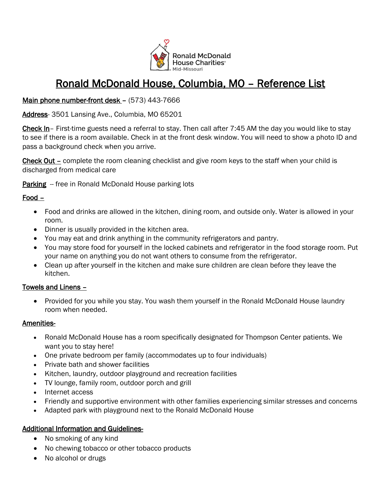

# Ronald McDonald House, Columbia, MO – Reference List

# Main phone number-front desk - (573) 443-7666

Address- 3501 Lansing Ave., Columbia, MO 65201

Check In– First-time guests need a referral to stay. Then call after 7:45 AM the day you would like to stay to see if there is a room available. Check in at the front desk window. You will need to show a photo ID and pass a background check when you arrive.

Check Out – complete the room cleaning checklist and give room keys to the staff when your child is discharged from medical care

Parking -- free in Ronald McDonald House parking lots

# Food –

- Food and drinks are allowed in the kitchen, dining room, and outside only. Water is allowed in your room.
- Dinner is usually provided in the kitchen area.
- You may eat and drink anything in the community refrigerators and pantry.
- You may store food for yourself in the locked cabinets and refrigerator in the food storage room. Put your name on anything you do not want others to consume from the refrigerator.
- Clean up after yourself in the kitchen and make sure children are clean before they leave the kitchen.

### Towels and Linens –

• Provided for you while you stay. You wash them yourself in the Ronald McDonald House laundry room when needed.

### Amenities-

- Ronald McDonald House has a room specifically designated for Thompson Center patients. We want you to stay here!
- One private bedroom per family (accommodates up to four individuals)
- Private bath and shower facilities
- Kitchen, laundry, outdoor playground and recreation facilities
- TV lounge, family room, outdoor porch and grill
- Internet access
- Friendly and supportive environment with other families experiencing similar stresses and concerns
- Adapted park with playground next to the Ronald McDonald House

# Additional Information and Guidelines-

- No smoking of any kind
- No chewing tobacco or other tobacco products
- No alcohol or drugs